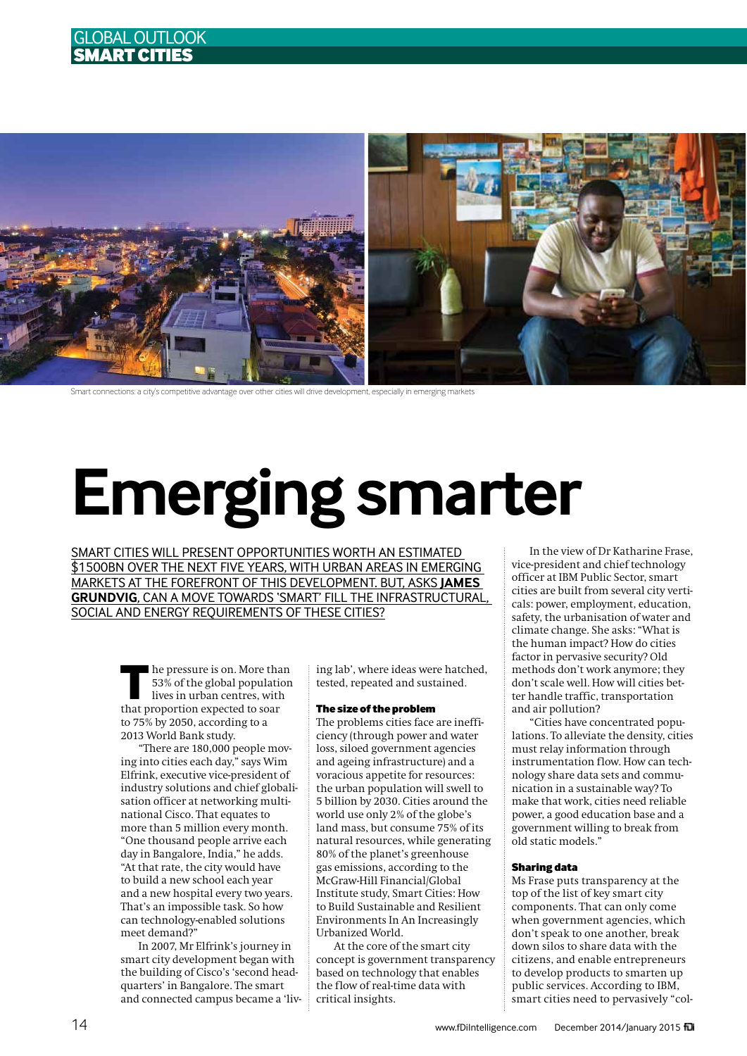



Smart connections: a city's competitive advantage over other cities will drive development, especially in emerging markets

# **Emerging smarter**

Smart cities will present opportunities worth an estimated \$1500bn over the next five years, with urban areas in emerging markets at the forefront of this development. But, asks **James Grundvig**, can a move towards 'smart' fill the infrastructural, SOCIAL AND ENERGY REQUIREMENTS OF THESE CITIES?

> **THE HE PRESSURE IS ON. More than**<br>
> 53% of the global population<br>
> lives in urban centres, with<br>
> that proportion expected to sore 53% of the global population that proportion expected to soar to 75% by 2050, according to a 2013 World Bank study.

"There are 180,000 people moving into cities each day," says Wim Elfrink, executive vice-president of industry solutions and chief globalisation officer at networking multinational Cisco. That equates to more than 5 million every month. "One thousand people arrive each day in Bangalore, India," he adds. "At that rate, the city would have to build a new school each year and a new hospital every two years. That's an impossible task. So how can technology-enabled solutions meet demand?"

In 2007, Mr Elfrink's journey in smart city development began with the building of Cisco's 'second headquarters' in Bangalore. The smart and connected campus became a 'living lab', where ideas were hatched, tested, repeated and sustained.

## The size of the problem

The problems cities face are inefficiency (through power and water loss, siloed government agencies and ageing infrastructure) and a voracious appetite for resources: the urban population will swell to 5 billion by 2030. Cities around the world use only 2% of the globe's land mass, but consume 75% of its natural resources, while generating 80% of the planet's greenhouse gas emissions, according to the McGraw-Hill Financial/Global Institute study, Smart Cities: How to Build Sustainable and Resilient Environments In An Increasingly Urbanized World.

At the core of the smart city concept is government transparency based on technology that enables the flow of real-time data with critical insights.

In the view of Dr Katharine Frase, vice-president and chief technology officer at IBM Public Sector, smart cities are built from several city verticals: power, employment, education, safety, the urbanisation of water and climate change. She asks: "What is the human impact? How do cities factor in pervasive security? Old methods don't work anymore; they don't scale well. How will cities better handle traffic, transportation and air pollution?

"Cities have concentrated populations. To alleviate the density, cities must relay information through instrumentation flow. How can technology share data sets and communication in a sustainable way? To make that work, cities need reliable power, a good education base and a government willing to break from old static models."

### Sharing data

Ms Frase puts transparency at the top of the list of key smart city components. That can only come when government agencies, which don't speak to one another, break down silos to share data with the citizens, and enable entrepreneurs to develop products to smarten up public services. According to IBM, smart cities need to pervasively "col-